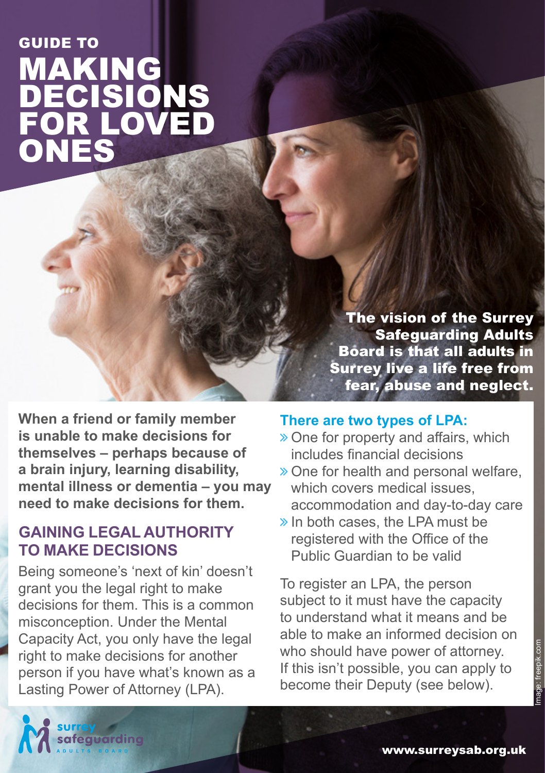# **MAKING** DECISIONS FOR LOVED ONES GUIDE TO

The vision of the Surrey Safeguarding Adults Board is that all adults in Surrey live a life free from fear, abuse and neglect.

**When a friend or family member is unable to make decisions for themselves – perhaps because of a brain injury, learning disability, mental illness or dementia – you may need to make decisions for them.** 

### **GAINING LEGAL AUTHORITY TO MAKE DECISIONS**

Being someone's 'next of kin' doesn't grant you the legal right to make decisions for them. This is a common misconception. Under the Mental Capacity Act, you only have the legal right to make decisions for another person if you have what's known as a Lasting Power of Attorney (LPA).

#### **There are two types of LPA:**

- $\gg$  One for property and affairs, which includes financial decisions
- ò One for health and personal welfare, which covers medical issues, accommodation and day-to-day care
- $\gg$  In both cases, the LPA must be registered with the Office of the Public Guardian to be valid

To register an LPA, the person subject to it must have the capacity to understand what it means and be able to make an informed decision on who should have power of attorney. If this isn't possible, you can apply to become their Deputy (see below).